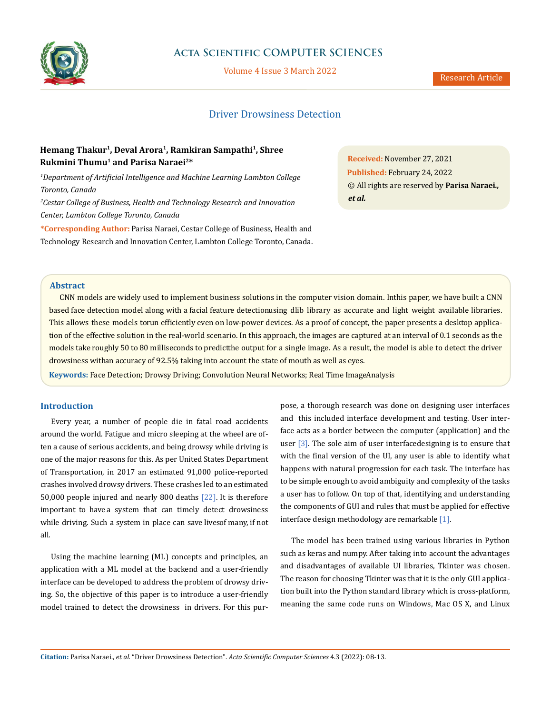

# **Acta Scientific COMPUTER SCIENCES**

Volume 4 Issue 3 March 2022

### Research Article

# Driver Drowsiness Detection

# **Hemang Thakur1, Deval Arora1, Ramkiran Sampathi1, Shree Rukmini Thumu1 and Parisa Naraei2\***

*1 Department of Artificial Intelligence and Machine Learning Lambton College Toronto, Canada 2 Cestar College of Business, Health and Technology Research and Innovation Center, Lambton College Toronto, Canada*

**\*Corresponding Author:** Parisa Naraei, Cestar College of Business, Health and Technology Research and Innovation Center, Lambton College Toronto, Canada. **Received:** November 27, 2021 **Published:** February 24, 2022 © All rights are reserved by **Parisa Naraei***., et al.*

#### **Abstract**

CNN models are widely used to implement business solutions in the computer vision domain. Inthis paper, we have built a CNN based face detection model along with a facial feature detectionusing dlib library as accurate and light weight available libraries. This allows these models torun efficiently even on low-power devices. As a proof of concept, the paper presents a desktop application of the effective solution in the real-world scenario. In this approach, the images are captured at an interval of 0.1 seconds as the models take roughly 50 to 80 milliseconds to predict the output for a single image. As a result, the model is able to detect the driver drowsiness with an accuracy of 92.5% taking into account the state of mouth as well as eyes.

Keywords: Face Detection; Drowsy Driving; Convolution Neural Networks; Real Time ImageAnalysis

# **Introduction**

Every year, a number of people die in fatal road accidents around the world. Fatigue and micro sleeping at the wheel are often a cause of serious accidents, and being drowsy while driving is one of the major reasons for this. As per United States Department of Transportation, in 2017 an estimated 91,000 police-reported crashes involved drowsy drivers. These crashes led to an estimated 50,000 people injured and nearly 800 deaths [22]. It is therefore important to have a system that can timely detect drowsiness while driving. Such a system in place can save lives of many, if not all.

Using the machine learning (ML) concepts and principles, an application with a ML model at the backend and a user-friendly interface can be developed to address the problem of drowsy driving. So, the objective of this paper is to introduce a user-friendly model trained to detect the drowsiness in drivers. For this purpose, a thorough research was done on designing user interfaces and this included interface development and testing. User interface acts as a border between the computer (application) and the user  $\lceil 3 \rceil$ . The sole aim of user interfacedesigning is to ensure that with the final version of the UI, any user is able to identify what happens with natural progression for each task. The interface has to be simple enough to avoid ambiguity and complexity of the tasks a user has to follow. On top of that, identifying and understanding the components of GUI and rules that must be applied for effective interface design methodology are remarkable [1].

The model has been trained using various libraries in Python such as keras and numpy. After taking into account the advantages and disadvantages of available UI libraries, Tkinter was chosen. The reason for choosing Tkinter was that it is the only GUI application built into the Python standard library which is cross-platform, meaning the same code runs on Windows, Mac OS X, and Linux

**Citation:** Parisa Naraei*., et al.* "Driver Drowsiness Detection". *Acta Scientific Computer Sciences* 4.3 (2022): 08-13.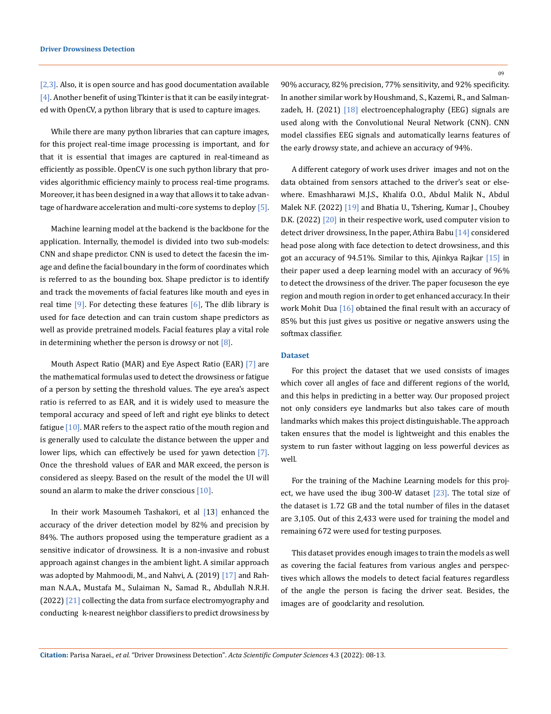[2,3]. Also, it is open source and has good documentation available [4]. Another benefit of using Tkinter is that it can be easily integrated with OpenCV, a python library that is used to capture images.

While there are many python libraries that can capture images, for this project real-time image processing is important, and for that it is essential that images are captured in real-time and as efficiently as possible. OpenCV is one such python library that provides algorithmic efficiency mainly to process real-time programs. Moreover, it has been designed in a way that allows it to take advantage of hardware acceleration and multi-core systems to deploy [5].

Machine learning model at the backend is the backbone for the application. Internally, the model is divided into two sub-models: CNN and shape predictor. CNN is used to detect the facesin the image and define the facial boundary in the form of coordinates which is referred to as the bounding box. Shape predictor is to identify and track the movements of facial features like mouth and eyes in real time  $[9]$ . For detecting these features  $[6]$ , The dlib library is used for face detection and can train custom shape predictors as well as provide pretrained models. Facial features play a vital role in determining whether the person is drowsy or not  $[8]$ .

Mouth Aspect Ratio (MAR) and Eye Aspect Ratio (EAR) [7] are the mathematical formulas used to detect the drowsiness or fatigue of a person by setting the threshold values. The eye area's aspect ratio is referred to as EAR, and it is widely used to measure the temporal accuracy and speed of left and right eye blinks to detect fatigue [10]. MAR refers to the aspect ratio of the mouth region and is generally used to calculate the distance between the upper and lower lips, which can effectively be used for yawn detection [7]. Once the threshold values of EAR and MAR exceed, the person is considered as sleepy. Based on the result of the model the UI will sound an alarm to make the driver conscious  $[10]$ .

In their work Masoumeh Tashakori, et al [13] enhanced the accuracy of the driver detection model by 82% and precision by 84%. The authors proposed using the temperature gradient as a sensitive indicator of drowsiness. It is a non-invasive and robust approach against changes in the ambient light. A similar approach was adopted by Mahmoodi, M., and Nahvi, A. (2019) [17] and Rahman N.A.A., Mustafa M., Sulaiman N., Samad R., Abdullah N.R.H. (2022) [21] collecting the data from surface electromyography and conducting k-nearest neighbor classifiers to predict drowsiness by

90% accuracy, 82% precision, 77% sensitivity, and 92% specificity. In another similar work by Houshmand, S., Kazemi, R., and Salmanzadeh, H. (2021)  $[18]$  electroencephalography (EEG) signals are used along with the Convolutional Neural Network (CNN). CNN model classifies EEG signals and automatically learns features of the early drowsy state, and achieve an accuracy of 94%.

A different category of work uses driver images and not on the data obtained from sensors attached to the driver's seat or elsewhere. Emashharawi M.J.S., Khalifa O.O., Abdul Malik N., Abdul Malek N.F. (2022) [19] and Bhatia U., Tshering, Kumar J., Choubey D.K. (2022) [20] in their respective work, used computer vision to detect driver drowsiness, In the paper, Athira Babu [14] considered head pose along with face detection to detect drowsiness, and this got an accuracy of 94.51%. Similar to this, Ajinkya Rajkar [15] in their paper used a deep learning model with an accuracy of 96% to detect the drowsiness of the driver. The paper focuses on the eye region and mouth region in order to get enhanced accuracy. In their work Mohit Dua [16] obtained the final result with an accuracy of 85% but this just gives us positive or negative answers using the softmax classifier.

## **Dataset**

For this project the dataset that we used consists of images which cover all angles of face and different regions of the world, and this helps in predicting in a better way. Our proposed project not only considers eye landmarks but also takes care of mouth landmarks which makes this project distinguishable. The approach taken ensures that the model is lightweight and this enables the system to run faster without lagging on less powerful devices as well.

For the training of the Machine Learning models for this project, we have used the ibug 300-W dataset [23]. The total size of the dataset is 1.72 GB and the total number of files in the dataset are 3,105. Out of this 2,433 were used for training the model and remaining 672 were used for testing purposes.

This dataset provides enough images to train the models as well as covering the facial features from various angles and perspectives which allows the models to detect facial features regardless of the angle the person is facing the driver seat. Besides, the images are of goodclarity and resolution.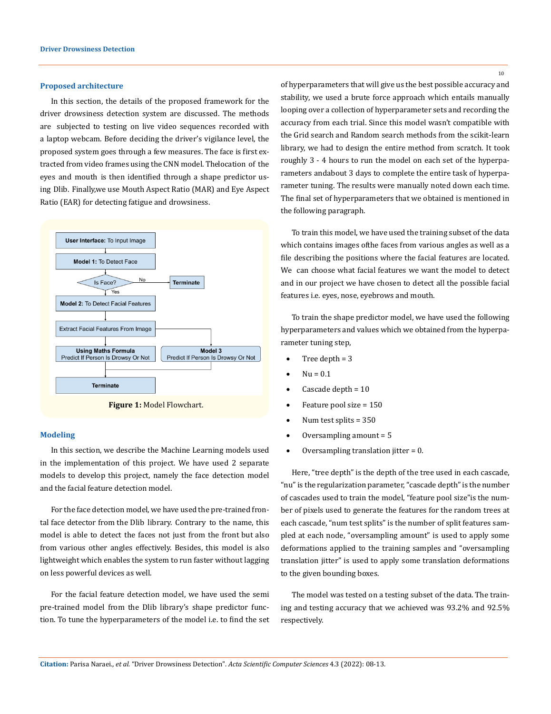#### **Proposed architecture**

In this section, the details of the proposed framework for the driver drowsiness detection system are discussed. The methods are subjected to testing on live video sequences recorded with a laptop webcam. Before deciding the driver's vigilance level, the proposed system goes through a few measures. The face is first extracted from video frames using the CNN model. The location of the eyes and mouth is then identified through a shape predictor using Dlib. Finally, we use Mouth Aspect Ratio (MAR) and Eye Aspect Ratio (EAR) for detecting fatigue and drowsiness.



**Figure 1:** Model Flowchart.

### **Modeling**

In this section, we describe the Machine Learning models used in the implementation of this project. We have used 2 separate models to develop this project, namely the face detection model and the facial feature detection model.

For the face detection model, we have used the pre-trained frontal face detector from the Dlib library. Contrary to the name, this model is able to detect the faces not just from the front but also from various other angles effectively. Besides, this model is also lightweight which enables the system to run faster without lagging on less powerful devices as well.

For the facial feature detection model, we have used the semi pre-trained model from the Dlib library's shape predictor function. To tune the hyperparameters of the model i.e. to find the set

10

of hyperparameters that will give us the best possible accuracy and stability, we used a brute force approach which entails manually looping over a collection of hyperparameter sets and recording the accuracy from each trial. Since this model wasn't compatible with the Grid search and Random search methods from the scikit-learn library, we had to design the entire method from scratch. It took roughly 3 - 4 hours to run the model on each set of the hyperparameters and about 3 days to complete the entire task of hyperparameter tuning. The results were manually noted down each time. The final set of hyperparameters that we obtained is mentioned in the following paragraph.

To train this model, we have used the training subset of the data which contains images of the faces from various angles as well as a file describing the positions where the facial features are located. We can choose what facial features we want the model to detect and in our project we have chosen to detect all the possible facial features i.e. eyes, nose, eyebrows and mouth.

To train the shape predictor model, we have used the following hyperparameters and values which we obtained from the hyperparameter tuning step,

- Tree depth  $= 3$
- $Nu = 0.1$
- Cascade depth = 10
- Feature pool size  $= 150$
- Num test splits  $= 350$
- Oversampling amount  $= 5$
- Oversampling translation jitter  $= 0$ .

Here, "tree depth" is the depth of the tree used in each cascade, "nu" is the regularization parameter, "cascade depth" is the number of cascades used to train the model, "feature pool size" is the number of pixels used to generate the features for the random trees at each cascade, "num test splits" is the number of split features sampled at each node, "oversampling amount" is used to apply some deformations applied to the training samples and "oversampling translation jitter" is used to apply some translation deformations to the given bounding boxes.

The model was tested on a testing subset of the data. The training and testing accuracy that we achieved was 93.2% and 92.5% respectively.

**Citation:** Parisa Naraei*., et al.* "Driver Drowsiness Detection". *Acta Scientific Computer Sciences* 4.3 (2022): 08-13.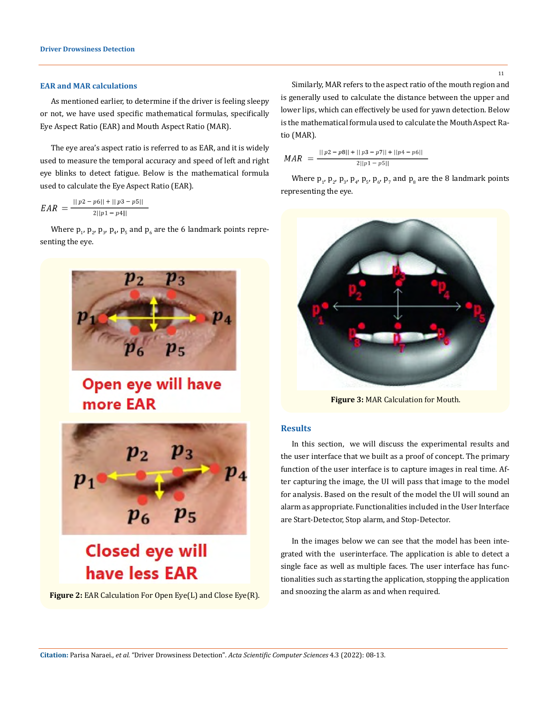#### **EAR and MAR calculations**

As mentioned earlier, to determine if the driver is feeling sleepy or not, we have used specific mathematical formulas, specifically Eye Aspect Ratio (EAR) and Mouth Aspect Ratio (MAR).

The eye area's aspect ratio is referred to as EAR, and it is widely used to measure the temporal accuracy and speed of left and right eye blinks to detect fatigue. Below is the mathematical formula used to calculate the Eye Aspect Ratio (EAR).

$$
EAR = \frac{||p2 - p6|| + ||p3 - p5||}{2||p1 - p4||}
$$

Where  $p_1$ ,  $p_2$ ,  $p_3$ ,  $p_4$ ,  $p_5$  and  $p_6$  are the 6 landmark points representing the eye.



# Open eye will have more EAR



**Figure 2:** EAR Calculation For Open Eye(L) and Close Eye(R).

Similarly, MAR refers to the aspect ratio of the mouth region and is generally used to calculate the distance between the upper and lower lips, which can effectively be used for yawn detection. Below is the mathematical formula used to calculate the Mouth Aspect Ratio (MAR).

$$
MAR = \frac{||p2 - p8|| + ||p3 - p7|| + ||p4 - p6||}{2||p1 - p5||}
$$

Where  $p_1$ ,  $p_2$ ,  $p_3$ ,  $p_4$ ,  $p_5$ ,  $p_6$ ,  $p_7$  and  $p_8$  are the 8 landmark points representing the eye.



**Figure 3:** MAR Calculation for Mouth.

#### **Results**

In this section, we will discuss the experimental results and the user interface that we built as a proof of concept. The primary function of the user interface is to capture images in real time. After capturing the image, the UI will pass that image to the model for analysis. Based on the result of the model the UI will sound an alarm as appropriate. Functionalities included in the User Interface are Start-Detector, Stop alarm, and Stop-Detector.

In the images below we can see that the model has been integrated with the userinterface. The application is able to detect a single face as well as multiple faces. The user interface has functionalities such as starting the application, stopping the application and snoozing the alarm as and when required.

11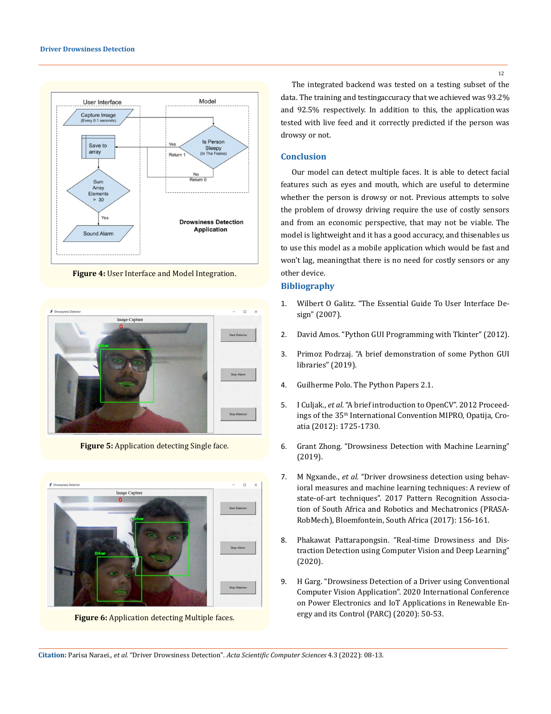

**Figure 4:** User Interface and Model Integration.



**Figure 5:** Application detecting Single face.



**Figure 6:** Application detecting Multiple faces.

The integrated backend was tested on a testing subset of the data. The training and testing accuracy that we achieved was 93.2% and 92.5% respectively. In addition to this, the application was tested with live feed and it correctly predicted if the person was drowsy or not.

#### **Conclusion**

Our model can detect multiple faces. It is able to detect facial features such as eyes and mouth, which are useful to determine whether the person is drowsy or not. Previous attempts to solve the problem of drowsy driving require the use of costly sensors and from an economic perspective, that may not be viable. The model is lightweight and it has a good accuracy, and this enables us to use this model as a mobile application which would be fast and won't lag, meaning that there is no need for costly sensors or any other device.

## **Bibliography**

- 1. [Wilbert O Galitz. "The Essential Guide To User Interface De](https://books.google.co.in/books?hl=en&lr=&id=Q3Xp_Awu49sC)[sign" \(2007\).](https://books.google.co.in/books?hl=en&lr=&id=Q3Xp_Awu49sC)
- 2. [David Amos. "Python GUI Programming with Tkinter" \(2012\).](https://realpython.com/python-gui-tkinter/)
- 3. [Primoz Podrzaj. "A brief demonstration of some Python GUI](https://www.researchgate.net/profile/Natalie-Walker-15/publication/335570218_Proceedings)  [libraries" \(2019\).](https://www.researchgate.net/profile/Natalie-Walker-15/publication/335570218_Proceedings)
- 4. [Guilherme Polo. The Python Papers 2.1.](https://core.ac.uk/download/pdf/230921362.pdf)
- 5. I Culjak., *et al*[. "A brief introduction to OpenCV". 2012 Proceed](https://ieeexplore.ieee.org/abstract/document/6240859)ings of the 35<sup>th</sup> International Convention MIPRO, Opatija, Cro[atia \(2012\): 1725-1730.](https://ieeexplore.ieee.org/abstract/document/6240859)
- 6. [Grant Zhong. "Drowsiness Detection with Machine Learning"](https://towardsdatascience.com/drowsiness-detection-with-machine-learning-765a16ca208a)  [\(2019\).](https://towardsdatascience.com/drowsiness-detection-with-machine-learning-765a16ca208a)
- 7. M Ngxande., *et al*[. "Driver drowsiness detection using behav](https://ieeexplore.ieee.org/document/8261140)[ioral measures and machine learning techniques: A review of](https://ieeexplore.ieee.org/document/8261140)  [state-of-art techniques". 2017 Pattern Recognition Associa](https://ieeexplore.ieee.org/document/8261140)[tion of South Africa and Robotics and Mechatronics \(PRASA-](https://ieeexplore.ieee.org/document/8261140)[RobMech\), Bloemfontein, South Africa \(2017\): 156-161.](https://ieeexplore.ieee.org/document/8261140)
- 8. [Phakawat Pattarapongsin. "Real-time Drowsiness and Dis](https://dl.acm.org/doi/abs/10.1145/3406601.3406638)[traction Detection using Computer Vision and Deep Learning"](https://dl.acm.org/doi/abs/10.1145/3406601.3406638)  [\(2020\).](https://dl.acm.org/doi/abs/10.1145/3406601.3406638)
- 9. [H Garg. "Drowsiness Detection of a Driver using Conventional](https://ieeexplore.ieee.org/abstract/document/9087013)  [Computer Vision Application". 2020 International Conference](https://ieeexplore.ieee.org/abstract/document/9087013)  [on Power Electronics and IoT Applications in Renewable En](https://ieeexplore.ieee.org/abstract/document/9087013)[ergy and its Control \(PARC\) \(2020\): 50-53.](https://ieeexplore.ieee.org/abstract/document/9087013)

**Citation:** Parisa Naraei*., et al.* "Driver Drowsiness Detection". *Acta Scientific Computer Sciences* 4.3 (2022): 08-13.

12